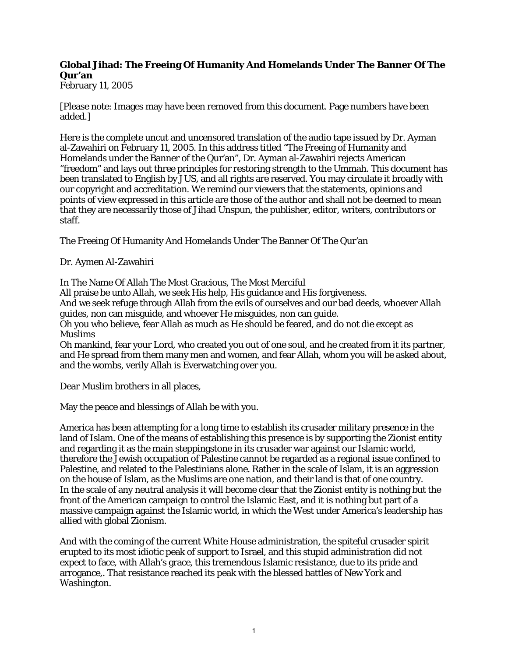## **Global Jihad: The Freeing Of Humanity And Homelands Under The Banner Of The Qur'an**

February 11, 2005

[Please note: Images may have been removed from this document. Page numbers have been added.]

Here is the complete uncut and uncensored translation of the audio tape issued by Dr. Ayman al-Zawahiri on February 11, 2005. In this address titled "The Freeing of Humanity and Homelands under the Banner of the Qur'an", Dr. Ayman al-Zawahiri rejects American "freedom" and lays out three principles for restoring strength to the Ummah. This document has been translated to English by JUS, and all rights are reserved. You may circulate it broadly with our copyright and accreditation. We remind our viewers that the statements, opinions and points of view expressed in this article are those of the author and shall not be deemed to mean that they are necessarily those of Jihad Unspun, the publisher, editor, writers, contributors or staff.

The Freeing Of Humanity And Homelands Under The Banner Of The Qur'an

Dr. Aymen Al-Zawahiri

In The Name Of Allah The Most Gracious, The Most Merciful

All praise be unto Allah, we seek His help, His guidance and His forgiveness.

And we seek refuge through Allah from the evils of ourselves and our bad deeds, whoever Allah guides, non can misguide, and whoever He misguides, non can guide.

Oh you who believe, fear Allah as much as He should be feared, and do not die except as Muslims

Oh mankind, fear your Lord, who created you out of one soul, and he created from it its partner, and He spread from them many men and women, and fear Allah, whom you will be asked about, and the wombs, verily Allah is Everwatching over you.

Dear Muslim brothers in all places,

May the peace and blessings of Allah be with you.

America has been attempting for a long time to establish its crusader military presence in the land of Islam. One of the means of establishing this presence is by supporting the Zionist entity and regarding it as the main steppingstone in its crusader war against our Islamic world, therefore the Jewish occupation of Palestine cannot be regarded as a regional issue confined to Palestine, and related to the Palestinians alone. Rather in the scale of Islam, it is an aggression on the house of Islam, as the Muslims are one nation, and their land is that of one country. In the scale of any neutral analysis it will become clear that the Zionist entity is nothing but the front of the American campaign to control the Islamic East, and it is nothing but part of a massive campaign against the Islamic world, in which the West under America's leadership has allied with global Zionism.

And with the coming of the current White House administration, the spiteful crusader spirit erupted to its most idiotic peak of support to Israel, and this stupid administration did not expect to face, with Allah's grace, this tremendous Islamic resistance, due to its pride and arrogance,. That resistance reached its peak with the blessed battles of New York and Washington.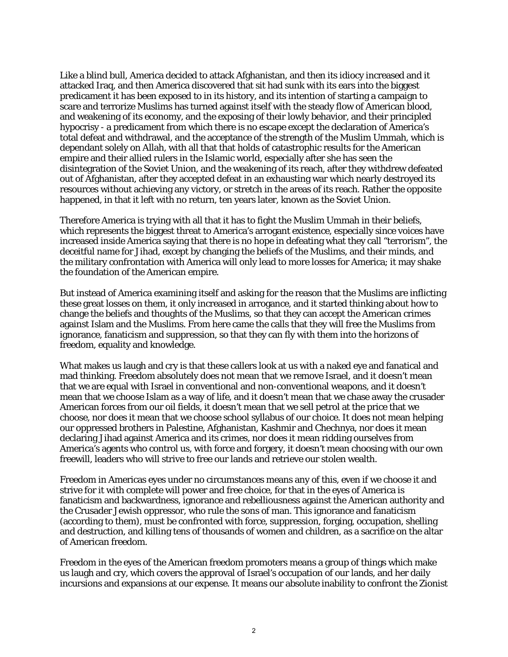Like a blind bull, America decided to attack Afghanistan, and then its idiocy increased and it attacked Iraq, and then America discovered that sit had sunk with its ears into the biggest predicament it has been exposed to in its history, and its intention of starting a campaign to scare and terrorize Muslims has turned against itself with the steady flow of American blood, and weakening of its economy, and the exposing of their lowly behavior, and their principled hypocrisy - a predicament from which there is no escape except the declaration of America's total defeat and withdrawal, and the acceptance of the strength of the Muslim Ummah, which is dependant solely on Allah, with all that that holds of catastrophic results for the American empire and their allied rulers in the Islamic world, especially after she has seen the disintegration of the Soviet Union, and the weakening of its reach, after they withdrew defeated out of Afghanistan, after they accepted defeat in an exhausting war which nearly destroyed its resources without achieving any victory, or stretch in the areas of its reach. Rather the opposite happened, in that it left with no return, ten years later, known as the Soviet Union.

Therefore America is trying with all that it has to fight the Muslim Ummah in their beliefs, which represents the biggest threat to America's arrogant existence, especially since voices have increased inside America saying that there is no hope in defeating what they call "terrorism", the deceitful name for Jihad, except by changing the beliefs of the Muslims, and their minds, and the military confrontation with America will only lead to more losses for America; it may shake the foundation of the American empire.

But instead of America examining itself and asking for the reason that the Muslims are inflicting these great losses on them, it only increased in arrogance, and it started thinking about how to change the beliefs and thoughts of the Muslims, so that they can accept the American crimes against Islam and the Muslims. From here came the calls that they will free the Muslims from ignorance, fanaticism and suppression, so that they can fly with them into the horizons of freedom, equality and knowledge.

What makes us laugh and cry is that these callers look at us with a naked eye and fanatical and mad thinking. Freedom absolutely does not mean that we remove Israel, and it doesn't mean that we are equal with Israel in conventional and non-conventional weapons, and it doesn't mean that we choose Islam as a way of life, and it doesn't mean that we chase away the crusader American forces from our oil fields, it doesn't mean that we sell petrol at the price that we choose, nor does it mean that we choose school syllabus of our choice. It does not mean helping our oppressed brothers in Palestine, Afghanistan, Kashmir and Chechnya, nor does it mean declaring Jihad against America and its crimes, nor does it mean ridding ourselves from America's agents who control us, with force and forgery, it doesn't mean choosing with our own freewill, leaders who will strive to free our lands and retrieve our stolen wealth.

Freedom in Americas eyes under no circumstances means any of this, even if we choose it and strive for it with complete will power and free choice, for that in the eyes of America is fanaticism and backwardness, ignorance and rebelliousness against the American authority and the Crusader Jewish oppressor, who rule the sons of man. This ignorance and fanaticism (according to them), must be confronted with force, suppression, forging, occupation, shelling and destruction, and killing tens of thousands of women and children, as a sacrifice on the altar of American freedom.

Freedom in the eyes of the American freedom promoters means a group of things which make us laugh and cry, which covers the approval of Israel's occupation of our lands, and her daily incursions and expansions at our expense. It means our absolute inability to confront the Zionist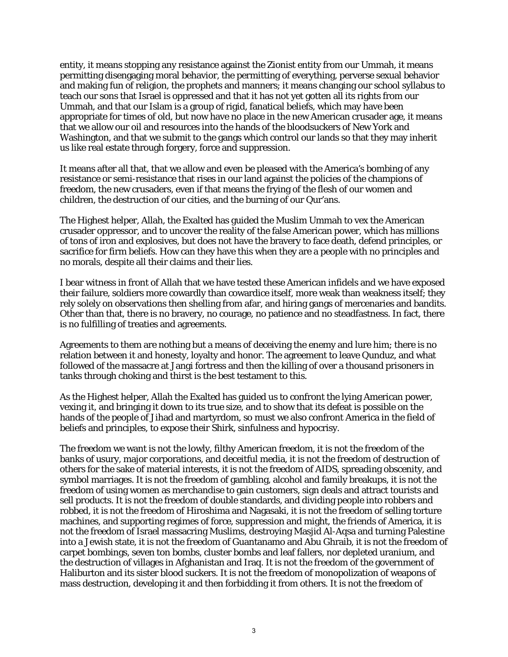entity, it means stopping any resistance against the Zionist entity from our Ummah, it means permitting disengaging moral behavior, the permitting of everything, perverse sexual behavior and making fun of religion, the prophets and manners; it means changing our school syllabus to teach our sons that Israel is oppressed and that it has not yet gotten all its rights from our Ummah, and that our Islam is a group of rigid, fanatical beliefs, which may have been appropriate for times of old, but now have no place in the new American crusader age, it means that we allow our oil and resources into the hands of the bloodsuckers of New York and Washington, and that we submit to the gangs which control our lands so that they may inherit us like real estate through forgery, force and suppression.

It means after all that, that we allow and even be pleased with the America's bombing of any resistance or semi-resistance that rises in our land against the policies of the champions of freedom, the new crusaders, even if that means the frying of the flesh of our women and children, the destruction of our cities, and the burning of our Qur'ans.

The Highest helper, Allah, the Exalted has guided the Muslim Ummah to vex the American crusader oppressor, and to uncover the reality of the false American power, which has millions of tons of iron and explosives, but does not have the bravery to face death, defend principles, or sacrifice for firm beliefs. How can they have this when they are a people with no principles and no morals, despite all their claims and their lies.

I bear witness in front of Allah that we have tested these American infidels and we have exposed their failure, soldiers more cowardly than cowardice itself, more weak than weakness itself; they rely solely on observations then shelling from afar, and hiring gangs of mercenaries and bandits. Other than that, there is no bravery, no courage, no patience and no steadfastness. In fact, there is no fulfilling of treaties and agreements.

Agreements to them are nothing but a means of deceiving the enemy and lure him; there is no relation between it and honesty, loyalty and honor. The agreement to leave Qunduz, and what followed of the massacre at Jangi fortress and then the killing of over a thousand prisoners in tanks through choking and thirst is the best testament to this.

As the Highest helper, Allah the Exalted has guided us to confront the lying American power, vexing it, and bringing it down to its true size, and to show that its defeat is possible on the hands of the people of Jihad and martyrdom, so must we also confront America in the field of beliefs and principles, to expose their Shirk, sinfulness and hypocrisy.

The freedom we want is not the lowly, filthy American freedom, it is not the freedom of the banks of usury, major corporations, and deceitful media, it is not the freedom of destruction of others for the sake of material interests, it is not the freedom of AIDS, spreading obscenity, and symbol marriages. It is not the freedom of gambling, alcohol and family breakups, it is not the freedom of using women as merchandise to gain customers, sign deals and attract tourists and sell products. It is not the freedom of double standards, and dividing people into robbers and robbed, it is not the freedom of Hiroshima and Nagasaki, it is not the freedom of selling torture machines, and supporting regimes of force, suppression and might, the friends of America, it is not the freedom of Israel massacring Muslims, destroying Masjid Al-Aqsa and turning Palestine into a Jewish state, it is not the freedom of Guantanamo and Abu Ghraib, it is not the freedom of carpet bombings, seven ton bombs, cluster bombs and leaf fallers, nor depleted uranium, and the destruction of villages in Afghanistan and Iraq. It is not the freedom of the government of Haliburton and its sister blood suckers. It is not the freedom of monopolization of weapons of mass destruction, developing it and then forbidding it from others. It is not the freedom of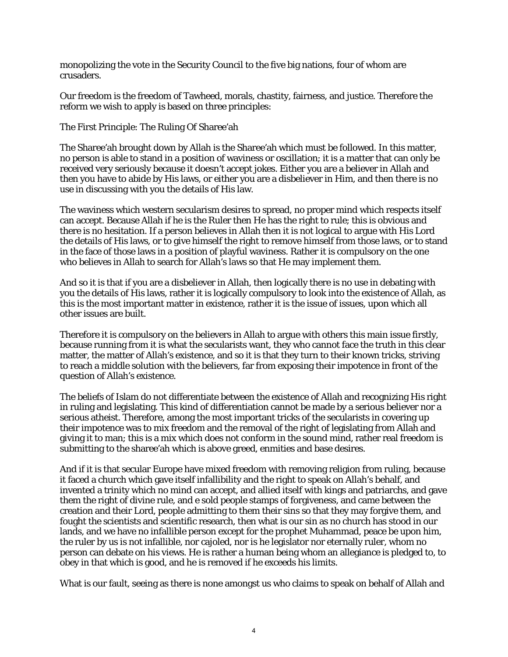monopolizing the vote in the Security Council to the five big nations, four of whom are crusaders.

Our freedom is the freedom of Tawheed, morals, chastity, fairness, and justice. Therefore the reform we wish to apply is based on three principles:

The First Principle: The Ruling Of Sharee'ah

The Sharee'ah brought down by Allah is the Sharee'ah which must be followed. In this matter, no person is able to stand in a position of waviness or oscillation; it is a matter that can only be received very seriously because it doesn't accept jokes. Either you are a believer in Allah and then you have to abide by His laws, or either you are a disbeliever in Him, and then there is no use in discussing with you the details of His law.

The waviness which western secularism desires to spread, no proper mind which respects itself can accept. Because Allah if he is the Ruler then He has the right to rule; this is obvious and there is no hesitation. If a person believes in Allah then it is not logical to argue with His Lord the details of His laws, or to give himself the right to remove himself from those laws, or to stand in the face of those laws in a position of playful waviness. Rather it is compulsory on the one who believes in Allah to search for Allah's laws so that He may implement them.

And so it is that if you are a disbeliever in Allah, then logically there is no use in debating with you the details of His laws, rather it is logically compulsory to look into the existence of Allah, as this is the most important matter in existence, rather it is the issue of issues, upon which all other issues are built.

Therefore it is compulsory on the believers in Allah to argue with others this main issue firstly, because running from it is what the secularists want, they who cannot face the truth in this clear matter, the matter of Allah's existence, and so it is that they turn to their known tricks, striving to reach a middle solution with the believers, far from exposing their impotence in front of the question of Allah's existence.

The beliefs of Islam do not differentiate between the existence of Allah and recognizing His right in ruling and legislating. This kind of differentiation cannot be made by a serious believer nor a serious atheist. Therefore, among the most important tricks of the secularists in covering up their impotence was to mix freedom and the removal of the right of legislating from Allah and giving it to man; this is a mix which does not conform in the sound mind, rather real freedom is submitting to the sharee'ah which is above greed, enmities and base desires.

And if it is that secular Europe have mixed freedom with removing religion from ruling, because it faced a church which gave itself infallibility and the right to speak on Allah's behalf, and invented a trinity which no mind can accept, and allied itself with kings and patriarchs, and gave them the right of divine rule, and e sold people stamps of forgiveness, and came between the creation and their Lord, people admitting to them their sins so that they may forgive them, and fought the scientists and scientific research, then what is our sin as no church has stood in our lands, and we have no infallible person except for the prophet Muhammad, peace be upon him, the ruler by us is not infallible, nor cajoled, nor is he legislator nor eternally ruler, whom no person can debate on his views. He is rather a human being whom an allegiance is pledged to, to obey in that which is good, and he is removed if he exceeds his limits.

What is our fault, seeing as there is none amongst us who claims to speak on behalf of Allah and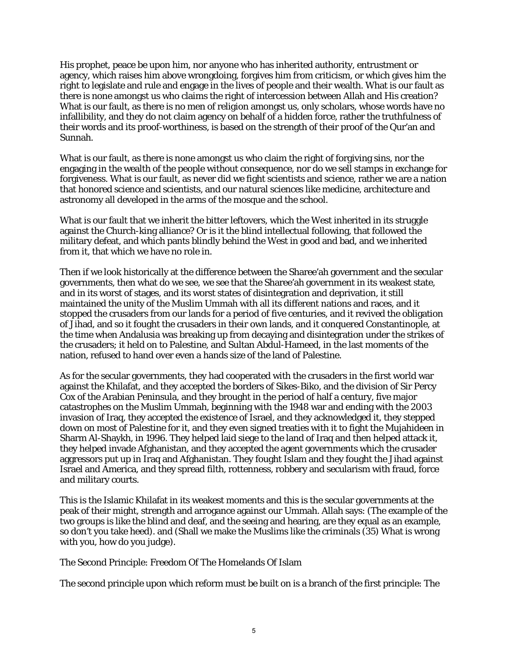His prophet, peace be upon him, nor anyone who has inherited authority, entrustment or agency, which raises him above wrongdoing, forgives him from criticism, or which gives him the right to legislate and rule and engage in the lives of people and their wealth. What is our fault as there is none amongst us who claims the right of intercession between Allah and His creation? What is our fault, as there is no men of religion amongst us, only scholars, whose words have no infallibility, and they do not claim agency on behalf of a hidden force, rather the truthfulness of their words and its proof-worthiness, is based on the strength of their proof of the Qur'an and Sunnah.

What is our fault, as there is none amongst us who claim the right of forgiving sins, nor the engaging in the wealth of the people without consequence, nor do we sell stamps in exchange for forgiveness. What is our fault, as never did we fight scientists and science, rather we are a nation that honored science and scientists, and our natural sciences like medicine, architecture and astronomy all developed in the arms of the mosque and the school.

What is our fault that we inherit the bitter leftovers, which the West inherited in its struggle against the Church-king alliance? Or is it the blind intellectual following, that followed the military defeat, and which pants blindly behind the West in good and bad, and we inherited from it, that which we have no role in.

Then if we look historically at the difference between the Sharee'ah government and the secular governments, then what do we see, we see that the Sharee'ah government in its weakest state, and in its worst of stages, and its worst states of disintegration and deprivation, it still maintained the unity of the Muslim Ummah with all its different nations and races, and it stopped the crusaders from our lands for a period of five centuries, and it revived the obligation of Jihad, and so it fought the crusaders in their own lands, and it conquered Constantinople, at the time when Andalusia was breaking up from decaying and disintegration under the strikes of the crusaders; it held on to Palestine, and Sultan Abdul-Hameed, in the last moments of the nation, refused to hand over even a hands size of the land of Palestine.

As for the secular governments, they had cooperated with the crusaders in the first world war against the Khilafat, and they accepted the borders of Sikes-Biko, and the division of Sir Percy Cox of the Arabian Peninsula, and they brought in the period of half a century, five major catastrophes on the Muslim Ummah, beginning with the 1948 war and ending with the 2003 invasion of Iraq, they accepted the existence of Israel, and they acknowledged it, they stepped down on most of Palestine for it, and they even signed treaties with it to fight the Mujahideen in Sharm Al-Shaykh, in 1996. They helped laid siege to the land of Iraq and then helped attack it, they helped invade Afghanistan, and they accepted the agent governments which the crusader aggressors put up in Iraq and Afghanistan. They fought Islam and they fought the Jihad against Israel and America, and they spread filth, rottenness, robbery and secularism with fraud, force and military courts.

This is the Islamic Khilafat in its weakest moments and this is the secular governments at the peak of their might, strength and arrogance against our Ummah. Allah says: (The example of the two groups is like the blind and deaf, and the seeing and hearing, are they equal as an example, so don't you take heed). and (Shall we make the Muslims like the criminals (35) What is wrong with you, how do you judge).

The Second Principle: Freedom Of The Homelands Of Islam

The second principle upon which reform must be built on is a branch of the first principle: The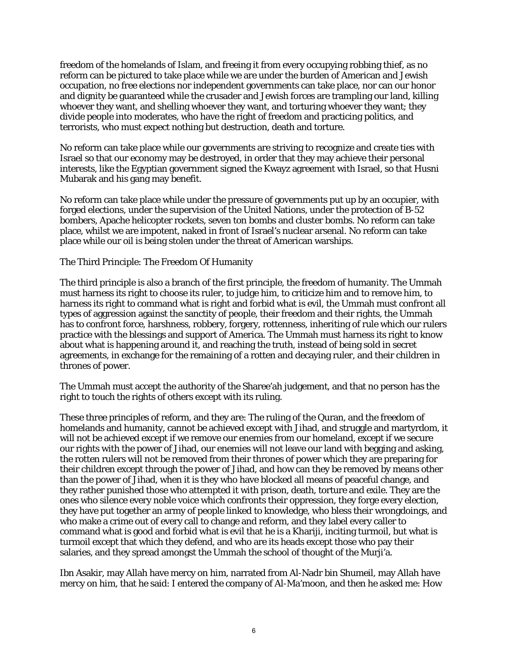freedom of the homelands of Islam, and freeing it from every occupying robbing thief, as no reform can be pictured to take place while we are under the burden of American and Jewish occupation, no free elections nor independent governments can take place, nor can our honor and dignity be guaranteed while the crusader and Jewish forces are trampling our land, killing whoever they want, and shelling whoever they want, and torturing whoever they want; they divide people into moderates, who have the right of freedom and practicing politics, and terrorists, who must expect nothing but destruction, death and torture.

No reform can take place while our governments are striving to recognize and create ties with Israel so that our economy may be destroyed, in order that they may achieve their personal interests, like the Egyptian government signed the Kwayz agreement with Israel, so that Husni Mubarak and his gang may benefit.

No reform can take place while under the pressure of governments put up by an occupier, with forged elections, under the supervision of the United Nations, under the protection of B-52 bombers, Apache helicopter rockets, seven ton bombs and cluster bombs. No reform can take place, whilst we are impotent, naked in front of Israel's nuclear arsenal. No reform can take place while our oil is being stolen under the threat of American warships.

The Third Principle: The Freedom Of Humanity

The third principle is also a branch of the first principle, the freedom of humanity. The Ummah must harness its right to choose its ruler, to judge him, to criticize him and to remove him, to harness its right to command what is right and forbid what is evil, the Ummah must confront all types of aggression against the sanctity of people, their freedom and their rights, the Ummah has to confront force, harshness, robbery, forgery, rottenness, inheriting of rule which our rulers practice with the blessings and support of America. The Ummah must harness its right to know about what is happening around it, and reaching the truth, instead of being sold in secret agreements, in exchange for the remaining of a rotten and decaying ruler, and their children in thrones of power.

The Ummah must accept the authority of the Sharee'ah judgement, and that no person has the right to touch the rights of others except with its ruling.

These three principles of reform, and they are: The ruling of the Quran, and the freedom of homelands and humanity, cannot be achieved except with Jihad, and struggle and martyrdom, it will not be achieved except if we remove our enemies from our homeland, except if we secure our rights with the power of Jihad, our enemies will not leave our land with begging and asking, the rotten rulers will not be removed from their thrones of power which they are preparing for their children except through the power of Jihad, and how can they be removed by means other than the power of Jihad, when it is they who have blocked all means of peaceful change, and they rather punished those who attempted it with prison, death, torture and exile. They are the ones who silence every noble voice which confronts their oppression, they forge every election, they have put together an army of people linked to knowledge, who bless their wrongdoings, and who make a crime out of every call to change and reform, and they label every caller to command what is good and forbid what is evil that he is a Khariji, inciting turmoil, but what is turmoil except that which they defend, and who are its heads except those who pay their salaries, and they spread amongst the Ummah the school of thought of the Murji'a.

Ibn Asakir, may Allah have mercy on him, narrated from Al-Nadr bin Shumeil, may Allah have mercy on him, that he said: I entered the company of Al-Ma'moon, and then he asked me: How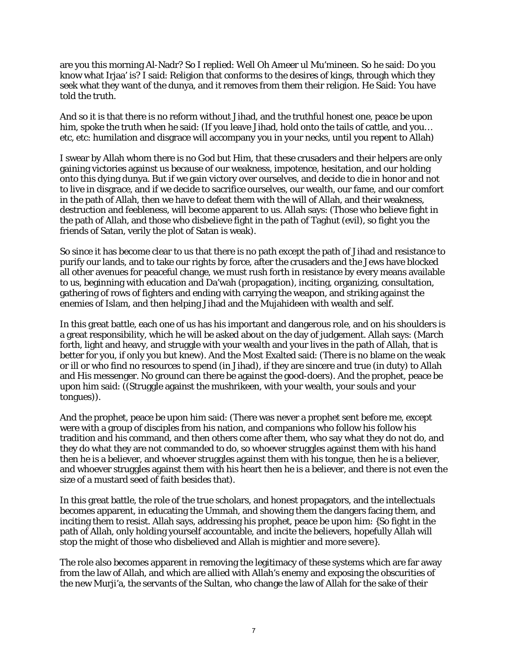are you this morning Al-Nadr? So I replied: Well Oh Ameer ul Mu'mineen. So he said: Do you know what Irjaa' is? I said: Religion that conforms to the desires of kings, through which they seek what they want of the dunya, and it removes from them their religion. He Said: You have told the truth.

And so it is that there is no reform without Jihad, and the truthful honest one, peace be upon him, spoke the truth when he said: (If you leave Jihad, hold onto the tails of cattle, and you… etc, etc: humilation and disgrace will accompany you in your necks, until you repent to Allah)

I swear by Allah whom there is no God but Him, that these crusaders and their helpers are only gaining victories against us because of our weakness, impotence, hesitation, and our holding onto this dying dunya. But if we gain victory over ourselves, and decide to die in honor and not to live in disgrace, and if we decide to sacrifice ourselves, our wealth, our fame, and our comfort in the path of Allah, then we have to defeat them with the will of Allah, and their weakness, destruction and feebleness, will become apparent to us. Allah says: (Those who believe fight in the path of Allah, and those who disbelieve fight in the path of Taghut (evil), so fight you the friends of Satan, verily the plot of Satan is weak).

So since it has become clear to us that there is no path except the path of Jihad and resistance to purify our lands, and to take our rights by force, after the crusaders and the Jews have blocked all other avenues for peaceful change, we must rush forth in resistance by every means available to us, beginning with education and Da'wah (propagation), inciting, organizing, consultation, gathering of rows of fighters and ending with carrying the weapon, and striking against the enemies of Islam, and then helping Jihad and the Mujahideen with wealth and self.

In this great battle, each one of us has his important and dangerous role, and on his shoulders is a great responsibility, which he will be asked about on the day of judgement. Allah says: (March forth, light and heavy, and struggle with your wealth and your lives in the path of Allah, that is better for you, if only you but knew). And the Most Exalted said: (There is no blame on the weak or ill or who find no resources to spend (in Jihad), if they are sincere and true (in duty) to Allah and His messenger. No ground can there be against the good-doers). And the prophet, peace be upon him said: ((Struggle against the mushrikeen, with your wealth, your souls and your tongues)).

And the prophet, peace be upon him said: (There was never a prophet sent before me, except were with a group of disciples from his nation, and companions who follow his follow his tradition and his command, and then others come after them, who say what they do not do, and they do what they are not commanded to do, so whoever struggles against them with his hand then he is a believer, and whoever struggles against them with his tongue, then he is a believer, and whoever struggles against them with his heart then he is a believer, and there is not even the size of a mustard seed of faith besides that).

In this great battle, the role of the true scholars, and honest propagators, and the intellectuals becomes apparent, in educating the Ummah, and showing them the dangers facing them, and inciting them to resist. Allah says, addressing his prophet, peace be upon him: {So fight in the path of Allah, only holding yourself accountable, and incite the believers, hopefully Allah will stop the might of those who disbelieved and Allah is mightier and more severe}.

The role also becomes apparent in removing the legitimacy of these systems which are far away from the law of Allah, and which are allied with Allah's enemy and exposing the obscurities of the new Murji'a, the servants of the Sultan, who change the law of Allah for the sake of their